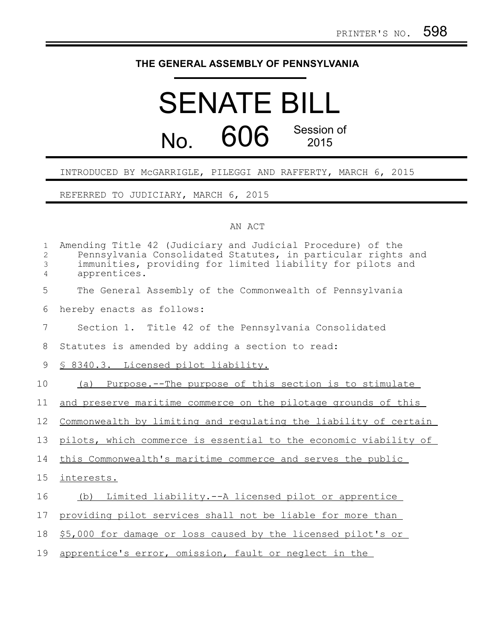## **THE GENERAL ASSEMBLY OF PENNSYLVANIA**

## SENATE BILL No. 606 Session of 2015

## INTRODUCED BY McGARRIGLE, PILEGGI AND RAFFERTY, MARCH 6, 2015

REFERRED TO JUDICIARY, MARCH 6, 2015

## AN ACT

| $\mathbf{1}$<br>2<br>3<br>4 | Amending Title 42 (Judiciary and Judicial Procedure) of the<br>Pennsylvania Consolidated Statutes, in particular rights and<br>immunities, providing for limited liability for pilots and<br>apprentices. |
|-----------------------------|-----------------------------------------------------------------------------------------------------------------------------------------------------------------------------------------------------------|
| 5                           | The General Assembly of the Commonwealth of Pennsylvania                                                                                                                                                  |
| 6                           | hereby enacts as follows:                                                                                                                                                                                 |
| 7                           | Section 1. Title 42 of the Pennsylvania Consolidated                                                                                                                                                      |
| 8                           | Statutes is amended by adding a section to read:                                                                                                                                                          |
| 9                           | § 8340.3. Licensed pilot liability.                                                                                                                                                                       |
| 10                          | (a) Purpose.--The purpose of this section is to stimulate                                                                                                                                                 |
| 11                          | and preserve maritime commerce on the pilotage grounds of this                                                                                                                                            |
| 12                          | Commonwealth by limiting and regulating the liability of certain                                                                                                                                          |
| 13                          | pilots, which commerce is essential to the economic viability of                                                                                                                                          |
| 14                          | this Commonwealth's maritime commerce and serves the public                                                                                                                                               |
| 15                          | interests.                                                                                                                                                                                                |
| 16                          | (b) Limited liability.--A licensed pilot or apprentice                                                                                                                                                    |
| 17                          | providing pilot services shall not be liable for more than                                                                                                                                                |
| 18                          | \$5,000 for damage or loss caused by the licensed pilot's or                                                                                                                                              |
| 19                          | apprentice's error, omission, fault or neglect in the                                                                                                                                                     |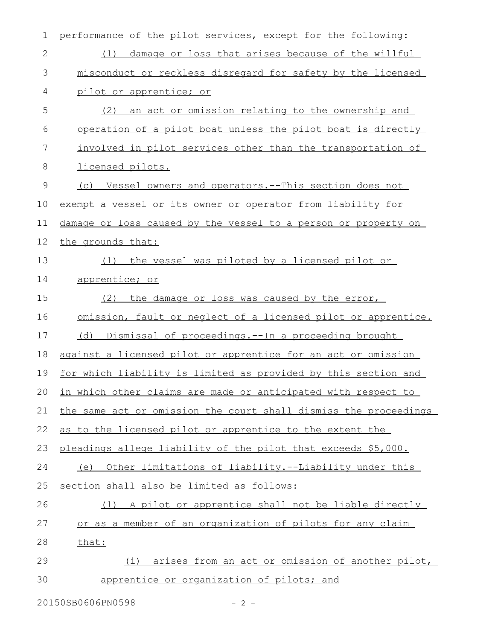| $\mathbf 1$  | performance of the pilot services, except for the following:     |
|--------------|------------------------------------------------------------------|
| $\mathbf{2}$ | damage or loss that arises because of the willful<br>(1)         |
| 3            | misconduct or reckless disregard for safety by the licensed      |
| 4            | pilot or apprentice; or                                          |
| 5            | (2) an act or omission relating to the ownership and             |
| 6            | operation of a pilot boat unless the pilot boat is directly      |
| 7            | involved in pilot services other than the transportation of      |
| 8            | licensed pilots.                                                 |
| 9            | (c) Vessel owners and operators. -- This section does not        |
| 10           | exempt a vessel or its owner or operator from liability for      |
| 11           | damage or loss caused by the vessel to a person or property on   |
| 12           | the grounds that:                                                |
| 13           | the vessel was piloted by a licensed pilot or<br>(1)             |
| 14           | apprentice; or                                                   |
| 15           | (2)<br>the damage or loss was caused by the error,               |
| 16           | omission, fault or neglect of a licensed pilot or apprentice.    |
| 17           | (d) Dismissal of proceedings.--In a proceeding brought           |
| 18           | against a licensed pilot or apprentice for an act or omission    |
| 19           | for which liability is limited as provided by this section and   |
| 20           | in which other claims are made or anticipated with respect to    |
| 21           | the same act or omission the court shall dismiss the proceedings |
| 22           | as to the licensed pilot or apprentice to the extent the         |
| 23           | pleadings allege liability of the pilot that exceeds \$5,000.    |
| 24           | (e) Other limitations of liability.--Liability under this        |
| 25           | section shall also be limited as follows:                        |
| 26           | (1) A pilot or apprentice shall not be liable directly           |
| 27           | or as a member of an organization of pilots for any claim        |
| 28           | that:                                                            |
| 29           | arises from an act or omission of another pilot,<br>(i)          |
| 30           | apprentice or organization of pilots; and                        |
|              |                                                                  |

20150SB0606PN0598 - 2 -